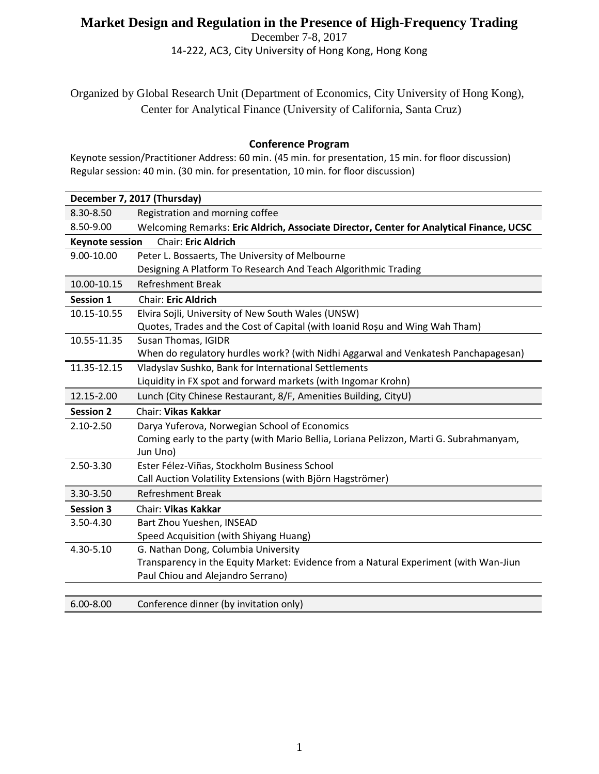## **Market Design and Regulation in the Presence of High-Frequency Trading**

December 7-8, 2017 14-222, AC3, City University of Hong Kong, Hong Kong

Organized by Global Research Unit (Department of Economics, City University of Hong Kong), Center for Analytical Finance (University of California, Santa Cruz)

## **Conference Program**

Keynote session/Practitioner Address: 60 min. (45 min. for presentation, 15 min. for floor discussion) Regular session: 40 min. (30 min. for presentation, 10 min. for floor discussion)

| December 7, 2017 (Thursday)                          |                                                                                          |  |
|------------------------------------------------------|------------------------------------------------------------------------------------------|--|
| 8.30-8.50                                            | Registration and morning coffee                                                          |  |
| 8.50-9.00                                            | Welcoming Remarks: Eric Aldrich, Associate Director, Center for Analytical Finance, UCSC |  |
| <b>Chair: Eric Aldrich</b><br><b>Keynote session</b> |                                                                                          |  |
| 9.00-10.00                                           | Peter L. Bossaerts, The University of Melbourne                                          |  |
|                                                      | Designing A Platform To Research And Teach Algorithmic Trading                           |  |
| 10.00-10.15                                          | <b>Refreshment Break</b>                                                                 |  |
| <b>Session 1</b>                                     | <b>Chair: Eric Aldrich</b>                                                               |  |
| 10.15-10.55                                          | Elvira Sojli, University of New South Wales (UNSW)                                       |  |
|                                                      | Quotes, Trades and the Cost of Capital (with Ioanid Roșu and Wing Wah Tham)              |  |
| 10.55-11.35                                          | Susan Thomas, IGIDR                                                                      |  |
|                                                      | When do regulatory hurdles work? (with Nidhi Aggarwal and Venkatesh Panchapagesan)       |  |
| 11.35-12.15                                          | Vladyslav Sushko, Bank for International Settlements                                     |  |
|                                                      | Liquidity in FX spot and forward markets (with Ingomar Krohn)                            |  |
| 12.15-2.00                                           | Lunch (City Chinese Restaurant, 8/F, Amenities Building, CityU)                          |  |
| <b>Session 2</b>                                     | <b>Chair: Vikas Kakkar</b>                                                               |  |
| 2.10-2.50                                            | Darya Yuferova, Norwegian School of Economics                                            |  |
|                                                      | Coming early to the party (with Mario Bellia, Loriana Pelizzon, Marti G. Subrahmanyam,   |  |
|                                                      | Jun Uno)                                                                                 |  |
| 2.50-3.30                                            | Ester Félez-Viñas, Stockholm Business School                                             |  |
|                                                      | Call Auction Volatility Extensions (with Björn Hagströmer)                               |  |
| 3.30-3.50                                            | <b>Refreshment Break</b>                                                                 |  |
| <b>Session 3</b>                                     | <b>Chair: Vikas Kakkar</b>                                                               |  |
| 3.50-4.30                                            | Bart Zhou Yueshen, INSEAD                                                                |  |
|                                                      | Speed Acquisition (with Shiyang Huang)                                                   |  |
| 4.30-5.10                                            | G. Nathan Dong, Columbia University                                                      |  |
|                                                      | Transparency in the Equity Market: Evidence from a Natural Experiment (with Wan-Jiun     |  |
|                                                      | Paul Chiou and Alejandro Serrano)                                                        |  |
|                                                      |                                                                                          |  |
| $6.00 - 8.00$                                        | Conference dinner (by invitation only)                                                   |  |